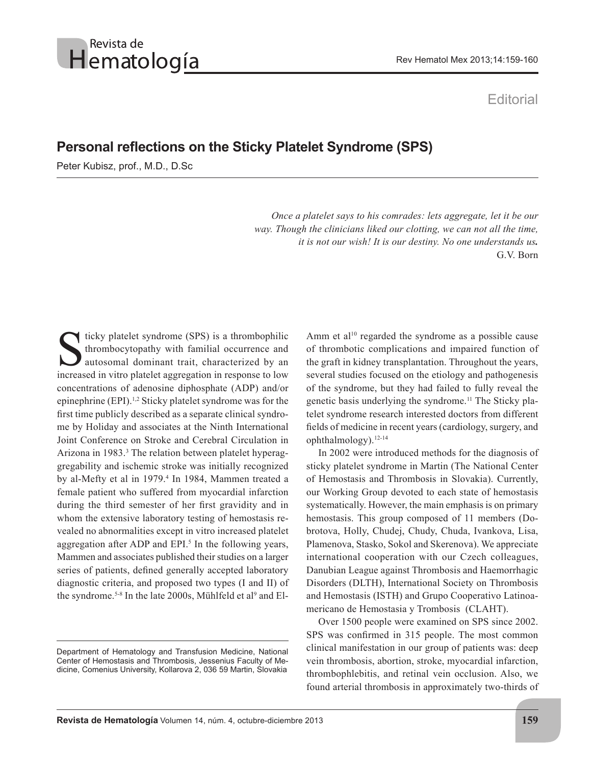## Revista de Hematología

## **Editorial**

## **Personal reflections on the Sticky Platelet Syndrome (SPS)**

Peter Kubisz, prof., M.D., D.Sc

 *Once a platelet says to his comrades: lets aggregate, let it be our way. Though the clinicians liked our clotting, we can not all the time, it is not our wish! It is our destiny. No one understands us.* G.V. Born

icky platelet syndrome (SPS) is a thrombophilic thrombocytopathy with familial occurrence and autosomal dominant trait, characterized by an increased in vitro platelet aggregation in response to low concentrations of adenosine diphosphate (ADP) and/or epinephrine (EPI).1,2 Sticky platelet syndrome was for the first time publicly described as a separate clinical syndrome by Holiday and associates at the Ninth International Joint Conference on Stroke and Cerebral Circulation in Arizona in 1983.3 The relation between platelet hyperaggregability and ischemic stroke was initially recognized by al-Mefty et al in 1979.<sup>4</sup> In 1984, Mammen treated a female patient who suffered from myocardial infarction during the third semester of her first gravidity and in whom the extensive laboratory testing of hemostasis revealed no abnormalities except in vitro increased platelet aggregation after ADP and EPI.<sup>5</sup> In the following years, Mammen and associates published their studies on a larger series of patients, defined generally accepted laboratory diagnostic criteria, and proposed two types (I and II) of the syndrome.<sup>5-8</sup> In the late 2000s, Mühlfeld et al<sup>9</sup> and El-

Amm et al<sup>10</sup> regarded the syndrome as a possible cause of thrombotic complications and impaired function of the graft in kidney transplantation. Throughout the years, several studies focused on the etiology and pathogenesis of the syndrome, but they had failed to fully reveal the genetic basis underlying the syndrome.11 The Sticky platelet syndrome research interested doctors from different fields of medicine in recent years (cardiology, surgery, and ophthalmology).12-14

In 2002 were introduced methods for the diagnosis of sticky platelet syndrome in Martin (The National Center of Hemostasis and Thrombosis in Slovakia). Currently, our Working Group devoted to each state of hemostasis systematically. However, the main emphasis is on primary hemostasis. This group composed of 11 members (Dobrotova, Holly, Chudej, Chudy, Chuda, Ivankova, Lisa, Plamenova, Stasko, Sokol and Skerenova). We appreciate international cooperation with our Czech colleagues, Danubian League against Thrombosis and Haemorrhagic Disorders (DLTH), International Society on Thrombosis and Hemostasis (ISTH) and Grupo Cooperativo Latinoamericano de Hemostasia y Trombosis (CLAHT).

Over 1500 people were examined on SPS since 2002. SPS was confirmed in 315 people. The most common clinical manifestation in our group of patients was: deep vein thrombosis, abortion, stroke, myocardial infarction, thrombophlebitis, and retinal vein occlusion. Also, we found arterial thrombosis in approximately two-thirds of

Department of Hematology and Transfusion Medicine, National Center of Hemostasis and Thrombosis, Jessenius Faculty of Medicine, Comenius University, Kollarova 2, 036 59 Martin, Slovakia